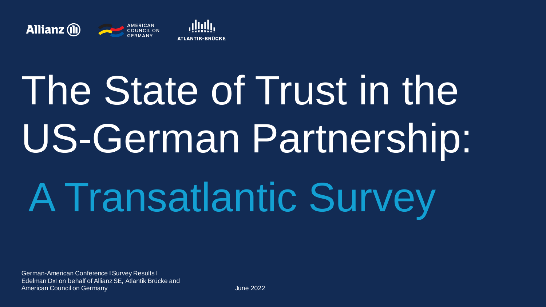

# The State of Trust in the US-German Partnership: A Transatlantic Survey

German-American Conference I Survey Results I Edelman DxI on behalf of Allianz SE, Atlantik Brücke and American Council on Germany **American Council on Germany** June 2022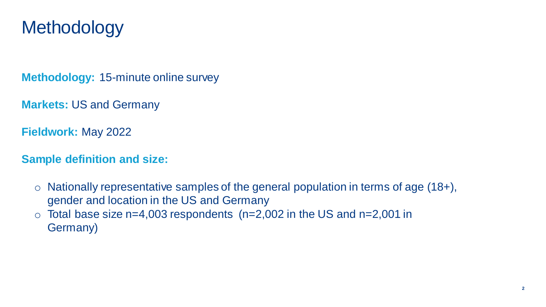#### **Methodology**

**Methodology:** 15-minute online survey

**Markets:** US and Germany

**Fieldwork:** May 2022

**Sample definition and size:**

- $\circ$  Nationally representative samples of the general population in terms of age (18+), gender and location in the US and Germany
- $\circ$  Total base size n=4,003 respondents (n=2,002 in the US and n=2,001 in Germany)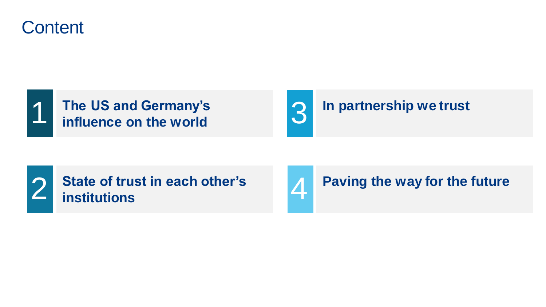





#### **In partnership we trust**



**Paving the way for the future**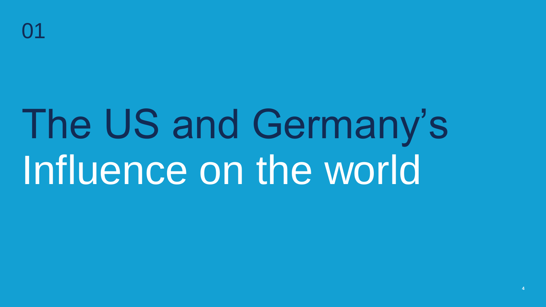## The US and Germany's Influence on the world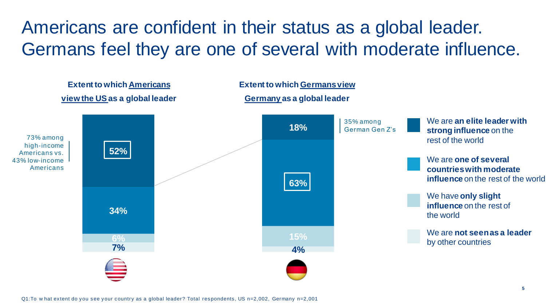#### Americans are confident in their status as a global leader. Germans feel they are one of several with moderate influence.

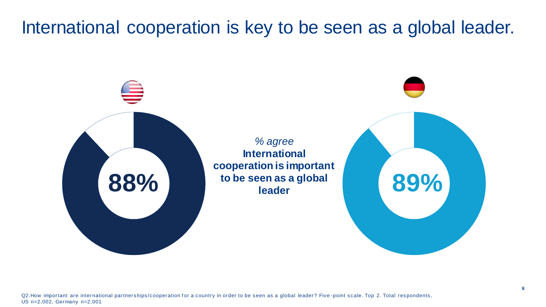#### International cooperation is key to be seen as a global leader.

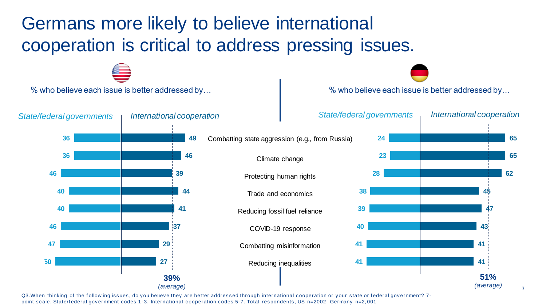## Germans more likely to believe international cooperation is critical to address pressing issues.



Q3. When thinking of the follow ing issues, do you believe they are better addressed through international cooperation or your state or federal government? 7point scale. State/f ederal government codes 1 -3. International cooperation codes 5-7. Total respondents, US n=2002, Germany n=2, 001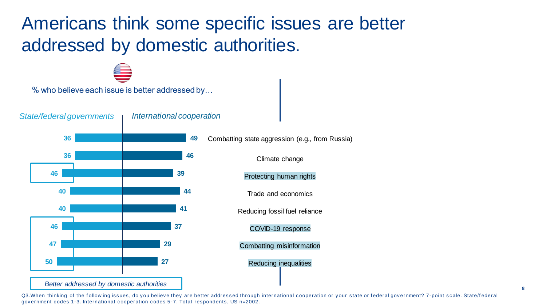### Americans think some specific issues are better addressed by domestic authorities.

% who believe each issue is better addressed by…

*State/federal governments International cooperation*



Combatting state aggression (e.g., from Russia)

Climate change

Protecting human rights

Trade and economics

Reducing fossil fuel reliance

COVID-19 response

Combatting misinformation

Reducing inequalities

Q3. When thinking of the follow ing issues, do you believe they are better addressed through international cooperation or your state or federal government? 7-point scale. State/federal government codes 1-3. International cooperation codes 5-7. Total respondents, US n=2002.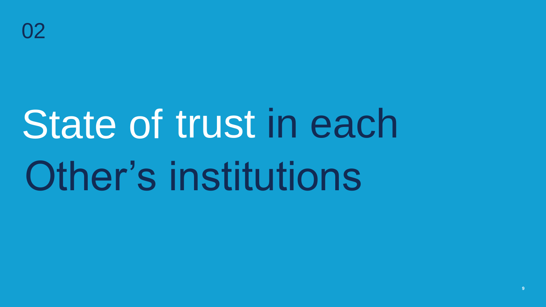## State of trust in each Other's institutions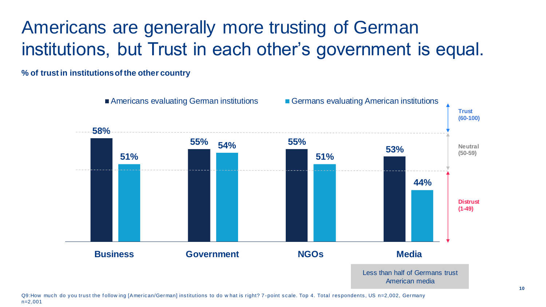## Americans are generally more trusting of German institutions, but Trust in each other's government is equal.

**% of trust in institutions of the other country**



Q9:How much do you trust the follow ing [American/German] institutions to do what is right? 7-point scale. Top 4. Total respondents, US n=2,002, Germany n=2,001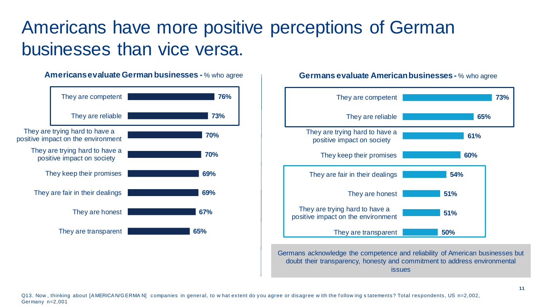#### Americans have more positive perceptions of German businesses than vice versa.

#### **Americans evaluate German businesses -** % who agree **65% 67% 69% 69% 70% 70% 73% 76%** They are transparent They are honest They are fair in their dealings They keep their promises They are trying hard to have a positive impact on society They are trying hard to have a positive impact on the environment They are reliable They are competent

#### **50% 51% 51% 54% 60% 61% 65% 73%** They are transparent They are trying hard to have a positive impact on the environment They are honest They are fair in their dealings They keep their promises They are trying hard to have a positive impact on society They are reliable They are competent

**Germans evaluate American businesses -** % who agree

Germans acknowledge the competence and reliability of American businesses but doubt their transparency, honesty and commitment to address environmental issues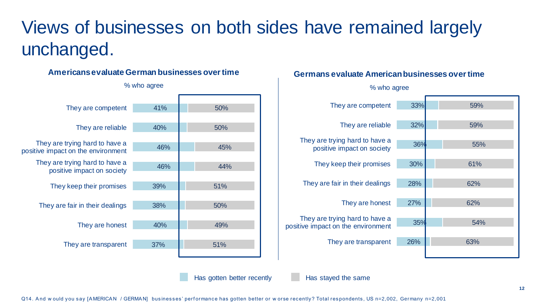## Views of businesses on both sides have remained largely unchanged.

#### **Americans evaluate German businesses over time**

| They are competent                 | 41% | 50% |
|------------------------------------|-----|-----|
|                                    |     |     |
| They are reliable                  | 40% | 50% |
| They are trying hard to have a     |     |     |
| positive impact on the environment | 46% | 45% |
| They are trying hard to have a     |     |     |
| positive impact on society         | 46% | 44% |
|                                    |     |     |
| They keep their promises           | 39% | 51% |
|                                    |     |     |
| They are fair in their dealings    | 38% | 50% |
|                                    |     |     |
| They are honest                    | 40% | 49% |
|                                    |     |     |
| They are transparent               | 37% | 51% |
|                                    |     |     |
|                                    |     |     |

#### % who agree

#### **Germans evaluate American businesses over time**



Has gotten better recently Has stayed the same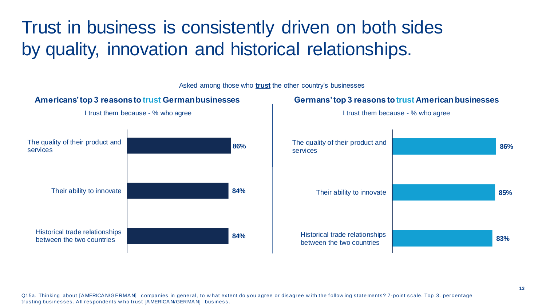### Trust in business is consistently driven on both sides by quality, innovation and historical relationships.

**Americans' top 3 reasons to trust German businesses**  I trust them because - % who agree **84% 84% 86%** Historical trade relationships between the two countries Their ability to innovate The quality of their product and services **83% 85% 86%** Historical trade relationships between the two countries Their ability to innovate The quality of their product and services **Germans' top 3 reasons to trust American businesses** I trust them because - % who agree Asked among those who **trust** the other country's businesses

Q15a. Thinking about [AMERICAN/GERMAN] companies in general, to what extent do you agree or disagree with the follow ing state ments? 7-point scale. Top 3. percentage trusting businesses. A ll respondents w ho trust [A MERICA N/GERMA N] business.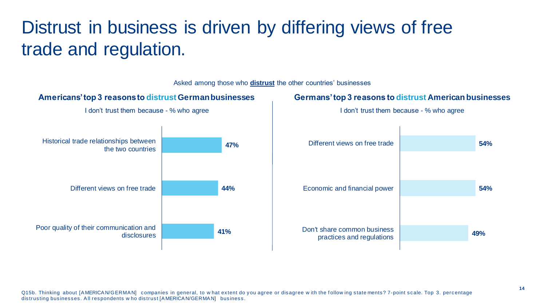## Distrust in business is driven by differing views of free trade and regulation.



Asked among those who **distrust** the other countries' businesses

#### Q15b. Thinking about [A MERICA N/GERMA N] companies in general, to w hat extent do you agree or disagree w ith the f ollow ing state ments? 7-point scale. Top 3. percentage distrusting businesses. All respondents w ho distrust [AMERICAN/GERMAN] business.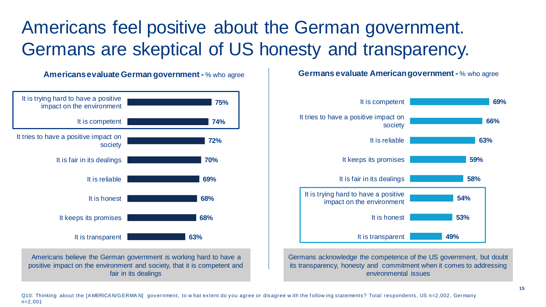### Americans feel positive about the German government. Germans are skeptical of US honesty and transparency.

**Americans evaluate German government -** % who agree **63% 68% 68% 69% 70% 72% 74% 75%** It is transparent It keeps its promises It is honest It is reliable It is fair in its dealings It tries to have a positive impact on society It is competent It is trying hard to have a positive impact on the environment Americans believe the German government is working hard to have a

positive impact on the environment and society, that it is competent and fair in its dealings

**Germans evaluate American government -** % who agree



Germans acknowledge the competence of the US government, but doubt its transparency, honesty and commitment when it comes to addressing environmental issues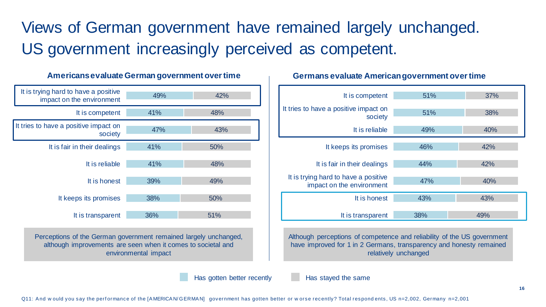Views of German government have remained largely unchanged. US government increasingly perceived as competent.



**Americans evaluate German government over time Germans evaluate American government over time**

Perceptions of the German government remained largely unchanged, although improvements are seen when it comes to societal and environmental impact

Has gotten better recently Has stayed the same



Although perceptions of competence and reliability of the US government have improved for 1 in 2 Germans, transparency and honesty remained relatively unchanged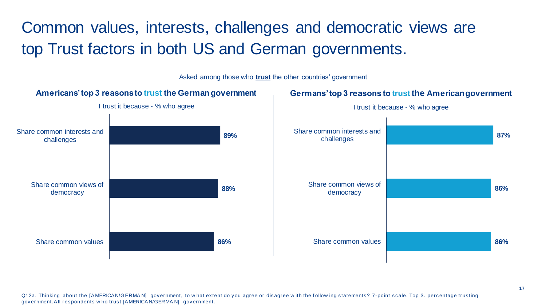Common values, interests, challenges and democratic views are top Trust factors in both US and German governments.

**Americans' top 3 reasons to trust the German government** I trust it because - % who agree **86% 88% 89%** Share common values Share common views of democracy Share common interests and challenges **86% 86% 87%** Share common values Share common views of democracy Share common interests and challenges **Germans' top 3 reasons to trust the American government** I trust it because - % who agree Asked among those who **trust** the other countries' government

Q12a. Thinking about the [AMERICAN/GERMAN] government, to what extent do you agree or disagree with the follow ing statements? 7-point scale. Top 3. percentage trusting government.A ll respondents w ho trust [A MERICA N/GERMA N] government.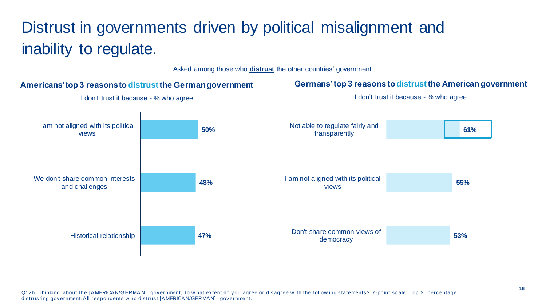#### Distrust in governments driven by political misalignment and inability to regulate.

Asked among those who **distrust** the other countries' government



#### Q12b. Thinking about the [AMERICAN/GERMAN] government, to what extent do you agree or disagree with the follow ing statements? 7-point scale. Top 3. percentage distrusting government. All respondents w ho distrust [A MERICA N/GERMAN] government.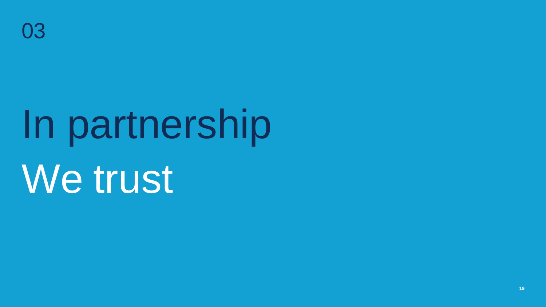# In partnership We trust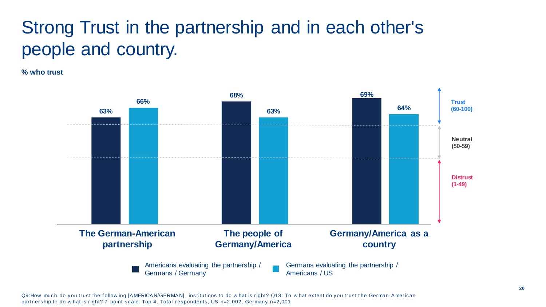## Strong Trust in the partnership and in each other's people and country.

**% who trust**



Q9:How much do you trust the follow ing [AMERICAN/GERMAN] institutions to do w hat is right? Q18: To w hat extent do you trust the German-American partnership to do w hat is right? 7-point scale. Top 4. Total respondents, US n=2,002, Germany n=2,001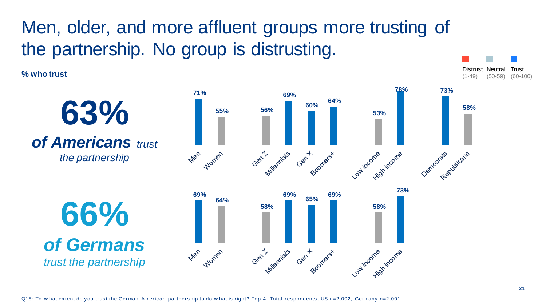## Men, older, and more affluent groups more trusting of the partnership. No group is distrusting.

**% who trust**

**63%**  *of Americans trust the partnership*

**66%**  *of Germans trust the partnership*

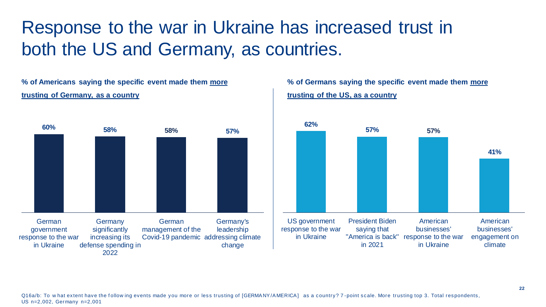### Response to the war in Ukraine has increased trust in both the US and Germany, as countries.

**% of Americans saying the specific event made them more trusting of Germany, as a country** 



**% of Germans saying the specific event made them more trusting of the US, as a country** 



Q16a/b: To what extent have the following events made you more or less trusting of [GERMANY/AMERICA] as a country? 7-point scale. More trusting top 3. Total respondents, US n=2,002, Germany n=2,001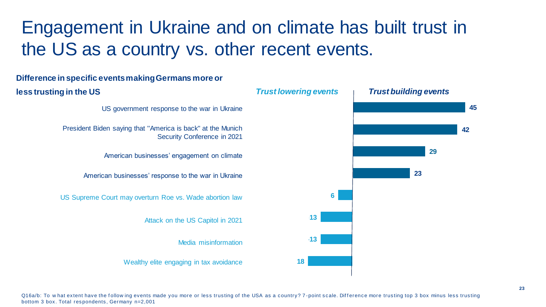## Engagement in Ukraine and on climate has built trust in the US as a country vs. other recent events.



Q16a/b: To w hat extent have the follow ing events made you more or less trusting of the USA as a country? 7-point scale. Difference more trusting top 3 box minus less trusting bottom 3 box. Total respondents, Germany n=2,001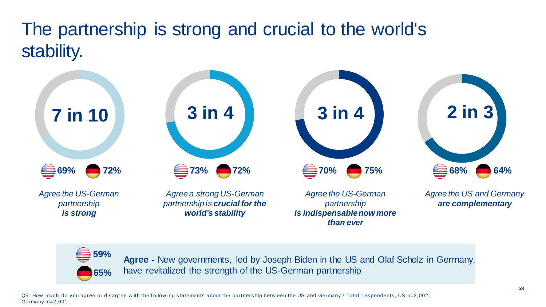## The partnership is strong and crucial to the world's stability.





**Agree -** New governments, led by Joseph Biden in the US and Olaf Scholz in Germany, have revitalized the strength of the US-German partnership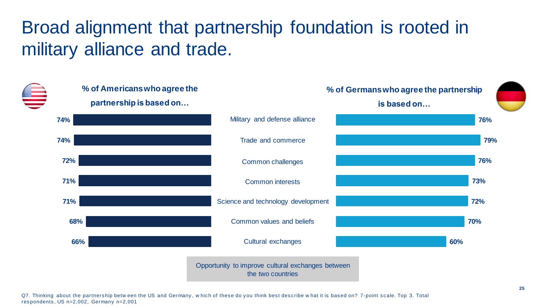## Broad alignment that partnership foundation is rooted in military alliance and trade.



Q7. Thinking about the partnership betw een the US and Germany, w hich of these do you think best describe w hat it is based on? 7-point scale. Top 3. Total respondents, US n=2,002, Germany n=2,001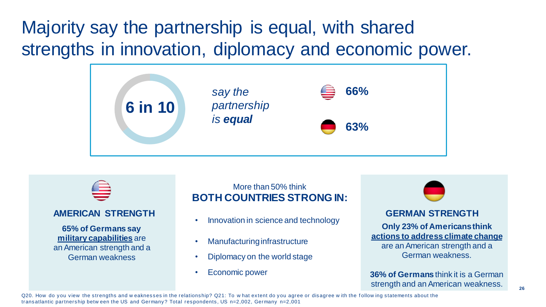### Majority say the partnership is equal, with shared strengths in innovation, diplomacy and economic power.





#### **AMERICAN STRENGTH**

**65% of Germans say military capabilities** are an American strength and a German weakness

#### More than 50% think **BOTH COUNTRIES STRONG IN:**

- Innovation in science and technology
- Manufacturing infrastructure
- Diplomacy on the world stage
- Economic power



#### **GERMAN STRENGTH**

**Only 23% of Americans think actions to address climate change**  are an American strength and a German weakness.

**36% of Germans** think it is a German strength and an American weakness.

Q20. How do you view the strengths and w eaknesses in the relationship? Q21: To w hat extent do you agree or disagree w ith the f ollow ing statements about the transatlantic partnership betw een the US and Germany? Total respondents, US n=2,002, Germany n=2,001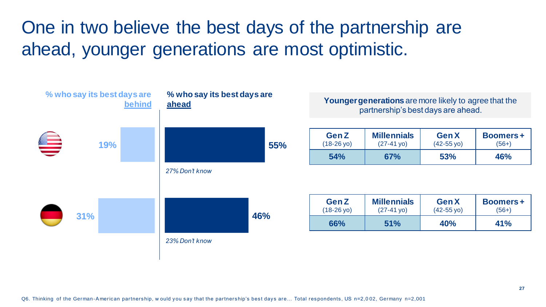One in two believe the best days of the partnership are ahead, younger generations are most optimistic.

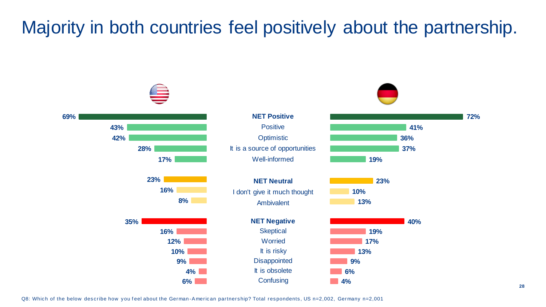#### Majority in both countries feel positively about the partnership.

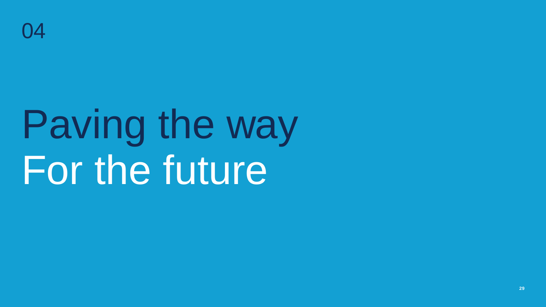

## Paving the way For the future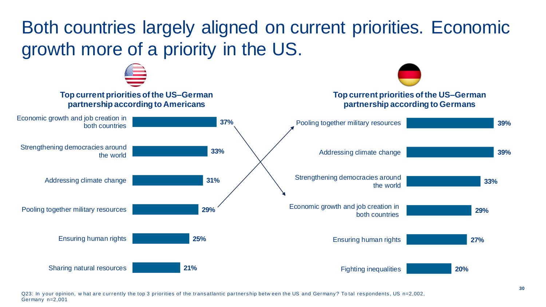## Both countries largely aligned on current priorities. Economic growth more of a priority in the US.



Q23: In your opinion, w hat are currently the top 3 priorities of the transatlantic partnership betw een the US and Germany? To tal respondents, US n=2,002, Germany n=2,001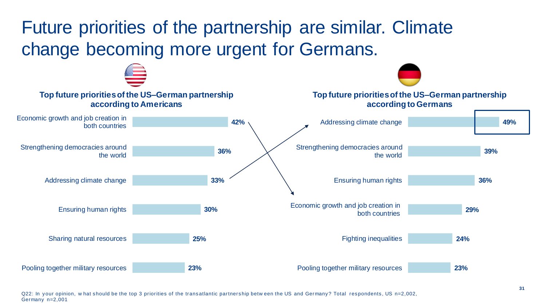## Future priorities of the partnership are similar. Climate change becoming more urgent for Germans.



Q22: In your opinion, w hat should be the top 3 priorities of the transatlantic partnership betw een the US and Germany? Total respondents, US n=2,002, Germany n=2,001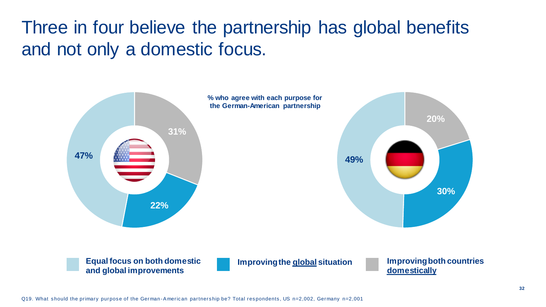### Three in four believe the partnership has global benefits and not only a domestic focus.

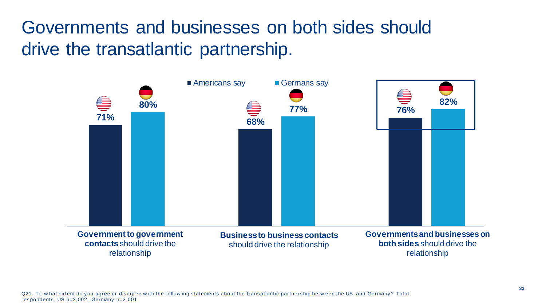Governments and businesses on both sides should drive the transatlantic partnership.

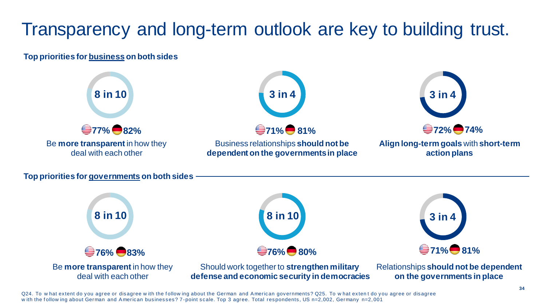## Transparency and long-term outlook are key to building trust.

#### **Top priorities for business on both sides**



Q24. To w hat extent do you agree or disagree w ith the f ollow ing about the German and A merican governments? Q25. To w hat exten t do you agree or disagree with the follow ing about German and American businesses? 7-point scale. Top 3 agree. Total respondents, US n=2,002, Germany n=2,001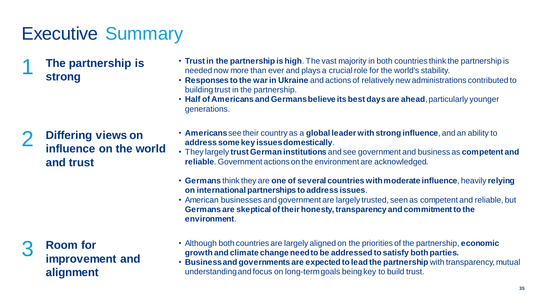## Executive Summary

1 **The partnership is strong**

#### 2 **Differing views on influence on the world and trust**

3 **Room for improvement and alignment**

- **Trust in the partnership is high**. The vast majority in both countries think the partnership is needed now more than ever and plays a crucial role for the world's stability.
- **Responses to the war in Ukraine** and actions of relatively new administrations contributed to building trust in the partnership.
- **Half of Americans and Germans believe its best days are ahead**, particularly younger generations.
- **Americans**see their country as a **global leader with strong influence**, and an ability to **address some key issues domestically**.
- They largely **trust German institutions** and see government and business as **competent and reliable**. Government actions on the environment are acknowledged.
- **Germans** think they are **one of several countries with moderate influence**, heavily **relying on international partnerships to address issues**.
- American businesses and government are largely trusted, seen as competent and reliable, but **Germans are skeptical of their honesty, transparency and commitment to the environment**.
- Although both countries are largely aligned on the priorities of the partnership, **economic growth and climate change need to be addressed to satisfy both parties.**
- **Business and governments are expected to lead the partnership** with transparency, mutual understanding and focus on long-term goals being key to build trust.